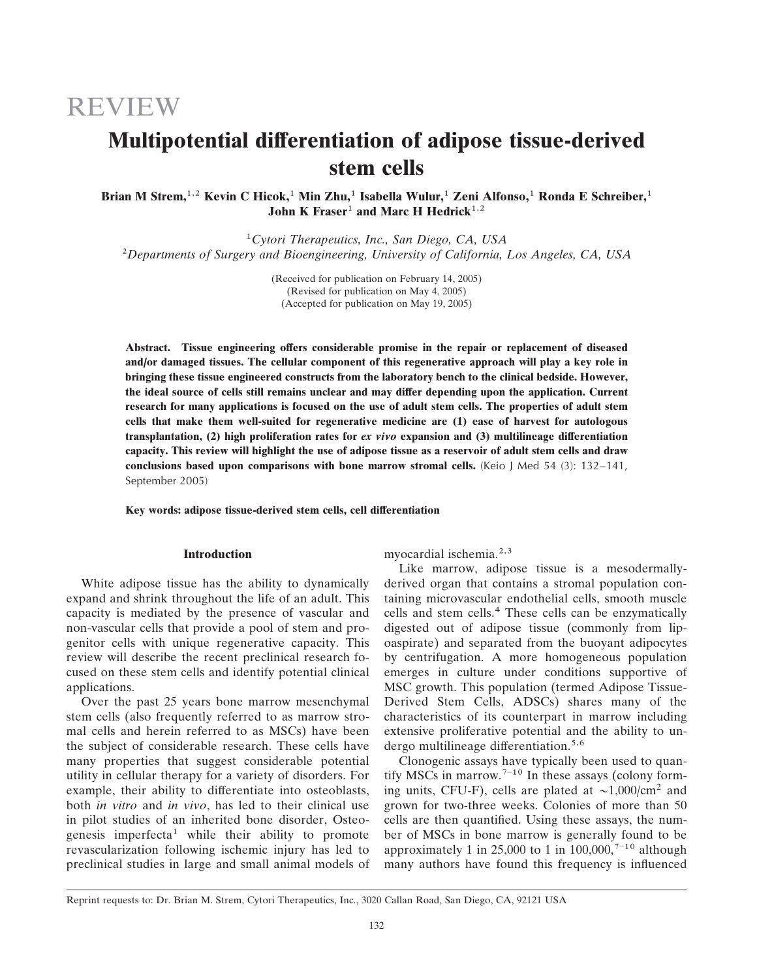# REVIEW

## Multipotential differentiation of adipose tissue-derived stem cells

Brian M Strem,<sup>1,2</sup> Kevin C Hicok,<sup>1</sup> Min Zhu,<sup>1</sup> Isabella Wulur,<sup>1</sup> Zeni Alfonso,<sup>1</sup> Ronda E Schreiber,<sup>1</sup> John K Fraser<sup>1</sup> and Marc H Hedrick<sup>1,2</sup>

 ${}^{1}$ Cytori Therapeutics, Inc., San Diego, CA, USA 2Departments of Surgery and Bioengineering, University of California, Los Angeles, CA, USA

> (Received for publication on February 14, 2005) (Revised for publication on May 4, 2005) (Accepted for publication on May 19, 2005)

Abstract. Tissue engineering offers considerable promise in the repair or replacement of diseased and/or damaged tissues. The cellular component of this regenerative approach will play a key role in bringing these tissue engineered constructs from the laboratory bench to the clinical bedside. However, the ideal source of cells still remains unclear and may differ depending upon the application. Current research for many applications is focused on the use of adult stem cells. The properties of adult stem cells that make them well-suited for regenerative medicine are (1) ease of harvest for autologous transplantation, (2) high proliferation rates for ex vivo expansion and (3) multilineage differentiation capacity. This review will highlight the use of adipose tissue as a reservoir of adult stem cells and draw conclusions based upon comparisons with bone marrow stromal cells. (Keio J Med 54 (3): 132–141, September 2005)

Key words: adipose tissue-derived stem cells, cell differentiation

## Introduction

White adipose tissue has the ability to dynamically expand and shrink throughout the life of an adult. This capacity is mediated by the presence of vascular and non-vascular cells that provide a pool of stem and progenitor cells with unique regenerative capacity. This review will describe the recent preclinical research focused on these stem cells and identify potential clinical applications.

Over the past 25 years bone marrow mesenchymal stem cells (also frequently referred to as marrow stromal cells and herein referred to as MSCs) have been the subject of considerable research. These cells have many properties that suggest considerable potential utility in cellular therapy for a variety of disorders. For example, their ability to differentiate into osteoblasts, both *in vitro* and *in vivo*, has led to their clinical use in pilot studies of an inherited bone disorder, Osteogenesis imperfecta<sup>1</sup> while their ability to promote revascularization following ischemic injury has led to preclinical studies in large and small animal models of myocardial ischemia.<sup>2,3</sup>

Like marrow, adipose tissue is a mesodermallyderived organ that contains a stromal population containing microvascular endothelial cells, smooth muscle cells and stem cells.4 These cells can be enzymatically digested out of adipose tissue (commonly from lipoaspirate) and separated from the buoyant adipocytes by centrifugation. A more homogeneous population emerges in culture under conditions supportive of MSC growth. This population (termed Adipose Tissue-Derived Stem Cells, ADSCs) shares many of the characteristics of its counterpart in marrow including extensive proliferative potential and the ability to undergo multilineage differentiation.<sup>5,6</sup>

Clonogenic assays have typically been used to quantify MSCs in marrow.<sup>7-10</sup> In these assays (colony forming units, CFU-F), cells are plated at  $\sim 1,000/cm^2$  and grown for two-three weeks. Colonies of more than 50 cells are then quantified. Using these assays, the number of MSCs in bone marrow is generally found to be approximately 1 in 25,000 to 1 in  $100,000$ ,  $7-10$  although many authors have found this frequency is influenced

Reprint requests to: Dr. Brian M. Strem, Cytori Therapeutics, Inc., 3020 Callan Road, San Diego, CA, 92121 USA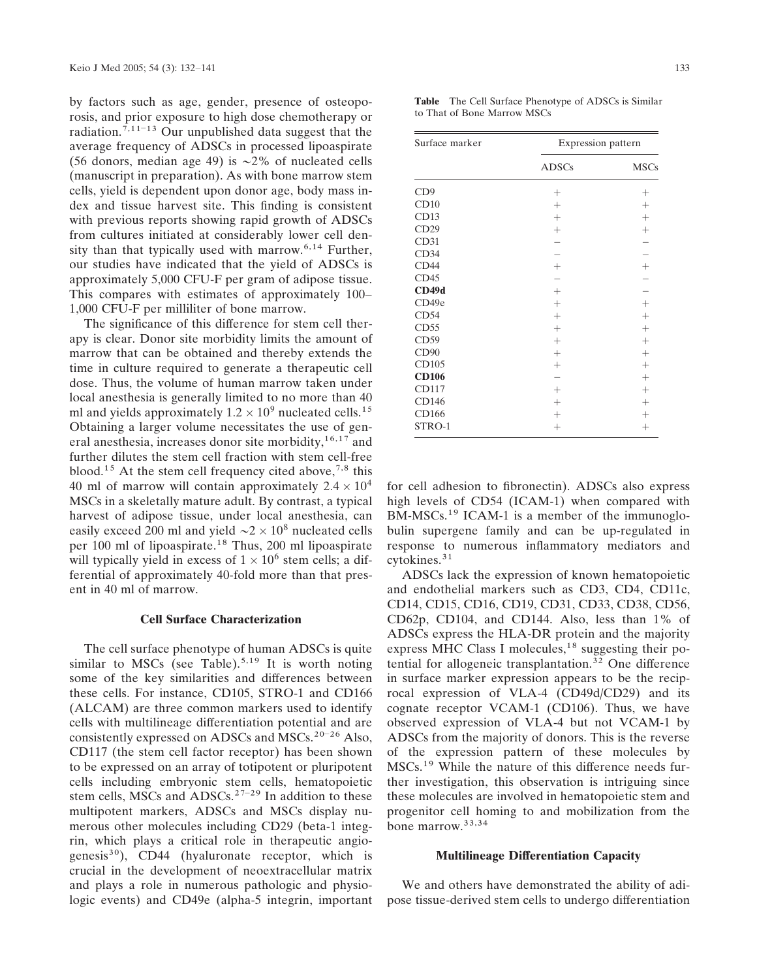by factors such as age, gender, presence of osteoporosis, and prior exposure to high dose chemotherapy or radiation.<sup>7,11-13</sup> Our unpublished data suggest that the average frequency of ADSCs in processed lipoaspirate (56 donors, median age 49) is  $\sim$ 2% of nucleated cells (manuscript in preparation). As with bone marrow stem cells, yield is dependent upon donor age, body mass index and tissue harvest site. This finding is consistent with previous reports showing rapid growth of ADSCs from cultures initiated at considerably lower cell density than that typically used with marrow.<sup>6,14</sup> Further, our studies have indicated that the yield of ADSCs is approximately 5,000 CFU-F per gram of adipose tissue. This compares with estimates of approximately 100– 1,000 CFU-F per milliliter of bone marrow.

The significance of this difference for stem cell therapy is clear. Donor site morbidity limits the amount of marrow that can be obtained and thereby extends the time in culture required to generate a therapeutic cell dose. Thus, the volume of human marrow taken under local anesthesia is generally limited to no more than 40 ml and yields approximately  $1.2 \times 10^9$  nucleated cells.<sup>15</sup> Obtaining a larger volume necessitates the use of general anesthesia, increases donor site morbidity,  $16,17$  and further dilutes the stem cell fraction with stem cell-free blood.<sup>15</sup> At the stem cell frequency cited above,<sup>7,8</sup> this 40 ml of marrow will contain approximately  $2.4 \times 10^4$ MSCs in a skeletally mature adult. By contrast, a typical harvest of adipose tissue, under local anesthesia, can easily exceed 200 ml and yield  $\sim$  2  $\times$  10<sup>8</sup> nucleated cells per 100 ml of lipoaspirate.18 Thus, 200 ml lipoaspirate will typically yield in excess of  $1 \times 10^6$  stem cells; a differential of approximately 40-fold more than that present in 40 ml of marrow.

#### Cell Surface Characterization

The cell surface phenotype of human ADSCs is quite similar to MSCs (see Table).<sup>5,19</sup> It is worth noting some of the key similarities and differences between these cells. For instance, CD105, STRO-1 and CD166 (ALCAM) are three common markers used to identify cells with multilineage differentiation potential and are consistently expressed on ADSCs and MSCs.<sup>20-26</sup> Also, CD117 (the stem cell factor receptor) has been shown to be expressed on an array of totipotent or pluripotent cells including embryonic stem cells, hematopoietic stem cells,  $\overline{\text{MSCs}}$  and  $\overline{\text{ADSCs}}$ .<sup>27-29</sup> In addition to these multipotent markers, ADSCs and MSCs display numerous other molecules including CD29 (beta-1 integrin, which plays a critical role in therapeutic angiogenesis $30$ ), CD44 (hyaluronate receptor, which is crucial in the development of neoextracellular matrix and plays a role in numerous pathologic and physiologic events) and CD49e (alpha-5 integrin, important

Table The Cell Surface Phenotype of ADSCs is Similar to That of Bone Marrow MSCs

| Surface marker  | Expression pattern |                |
|-----------------|--------------------|----------------|
|                 | <b>ADSCs</b>       | <b>MSCs</b>    |
| CD <sub>9</sub> | $^{+}$             | $^{+}$         |
| CD10            | $+$                | $^{+}$         |
| CD13            | $+$                | $+$            |
| CD29            | $^{+}$             | $^{+}$         |
| CD31            |                    |                |
| CD34            |                    |                |
| CD44            | $^{+}$             | $\ddot{}$      |
| CD45            |                    |                |
| CD49d           | $\ddot{}$          |                |
| CD49e           | $^{+}$             | $\ddot{}$      |
| CD54            | $+$                | $^{+}$         |
| CD55            | $^{+}$             | $\ddot{}$      |
| CD59            | $^{+}$             | $^{+}$         |
| CD90            | $+$                | $\ddot{}$      |
| CD105           | $^{+}$             | $\ddot{}$      |
| <b>CD106</b>    |                    | $\ddot{}$      |
| CD117           | $+$                | $^{+}$         |
| CD146           | $^{+}$             | $^{+}$         |
| CD166           | $^{+}$             | $^{+}$         |
| STRO-1          | $^{+}$             | $\overline{+}$ |

for cell adhesion to fibronectin). ADSCs also express high levels of CD54 (ICAM-1) when compared with BM-MSCs.<sup>19</sup> ICAM-1 is a member of the immunoglobulin supergene family and can be up-regulated in response to numerous inflammatory mediators and cytokines.31

ADSCs lack the expression of known hematopoietic and endothelial markers such as CD3, CD4, CD11c, CD14, CD15, CD16, CD19, CD31, CD33, CD38, CD56, CD62p, CD104, and CD144. Also, less than 1% of ADSCs express the HLA-DR protein and the majority express MHC Class I molecules,<sup>18</sup> suggesting their potential for allogeneic transplantation.32 One difference in surface marker expression appears to be the reciprocal expression of VLA-4 (CD49d/CD29) and its cognate receptor VCAM-1 (CD106). Thus, we have observed expression of VLA-4 but not VCAM-1 by ADSCs from the majority of donors. This is the reverse of the expression pattern of these molecules by MSCs.19 While the nature of this difference needs further investigation, this observation is intriguing since these molecules are involved in hematopoietic stem and progenitor cell homing to and mobilization from the bone marrow.33,34

#### Multilineage Differentiation Capacity

We and others have demonstrated the ability of adipose tissue-derived stem cells to undergo differentiation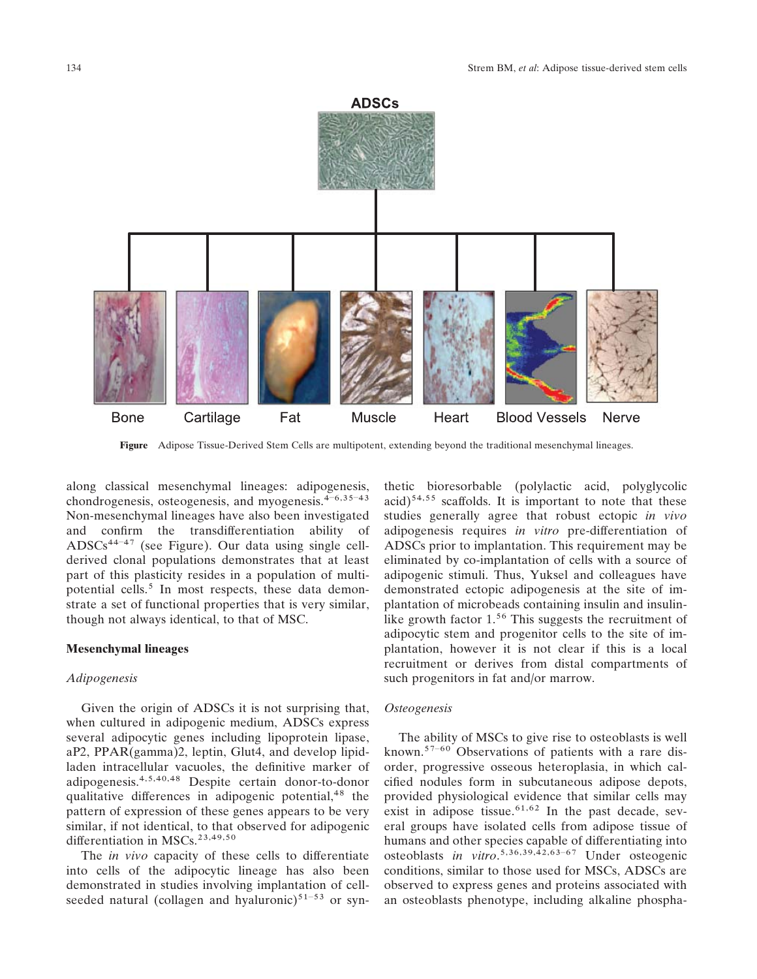

Figure Adipose Tissue-Derived Stem Cells are multipotent, extending beyond the traditional mesenchymal lineages.

along classical mesenchymal lineages: adipogenesis, chondrogenesis, osteogenesis, and myogenesis.<sup>4-6,35-43</sup> Non-mesenchymal lineages have also been investigated and confirm the transdifferentiation ability of ADSCs44– 47 (see Figure). Our data using single cellderived clonal populations demonstrates that at least part of this plasticity resides in a population of multipotential cells.<sup>5</sup> In most respects, these data demonstrate a set of functional properties that is very similar, though not always identical, to that of MSC.

## Mesenchymal lineages

## Adipogenesis

Given the origin of ADSCs it is not surprising that, when cultured in adipogenic medium, ADSCs express several adipocytic genes including lipoprotein lipase, aP2, PPAR(gamma)2, leptin, Glut4, and develop lipidladen intracellular vacuoles, the definitive marker of adipogenesis.4,5,40,48 Despite certain donor-to-donor qualitative differences in adipogenic potential, $48$  the pattern of expression of these genes appears to be very similar, if not identical, to that observed for adipogenic differentiation in MSCs.<sup>23,49,50</sup>

The *in vivo* capacity of these cells to differentiate into cells of the adipocytic lineage has also been demonstrated in studies involving implantation of cellseeded natural (collagen and hyaluronic) $51-53$  or syn-

thetic bioresorbable (polylactic acid, polyglycolic acid) $54,55$  scaffolds. It is important to note that these studies generally agree that robust ectopic in vivo adipogenesis requires in vitro pre-differentiation of ADSCs prior to implantation. This requirement may be eliminated by co-implantation of cells with a source of adipogenic stimuli. Thus, Yuksel and colleagues have demonstrated ectopic adipogenesis at the site of implantation of microbeads containing insulin and insulinlike growth factor 1.<sup>56</sup> This suggests the recruitment of adipocytic stem and progenitor cells to the site of implantation, however it is not clear if this is a local recruitment or derives from distal compartments of such progenitors in fat and/or marrow.

#### **Osteogenesis**

The ability of MSCs to give rise to osteoblasts is well known.<sup>57-60</sup> Observations of patients with a rare disorder, progressive osseous heteroplasia, in which calcified nodules form in subcutaneous adipose depots, provided physiological evidence that similar cells may exist in adipose tissue.<sup>61,62</sup> In the past decade, several groups have isolated cells from adipose tissue of humans and other species capable of differentiating into osteoblasts in vitro.5,36,39,42,63– 67 Under osteogenic conditions, similar to those used for MSCs, ADSCs are observed to express genes and proteins associated with an osteoblasts phenotype, including alkaline phospha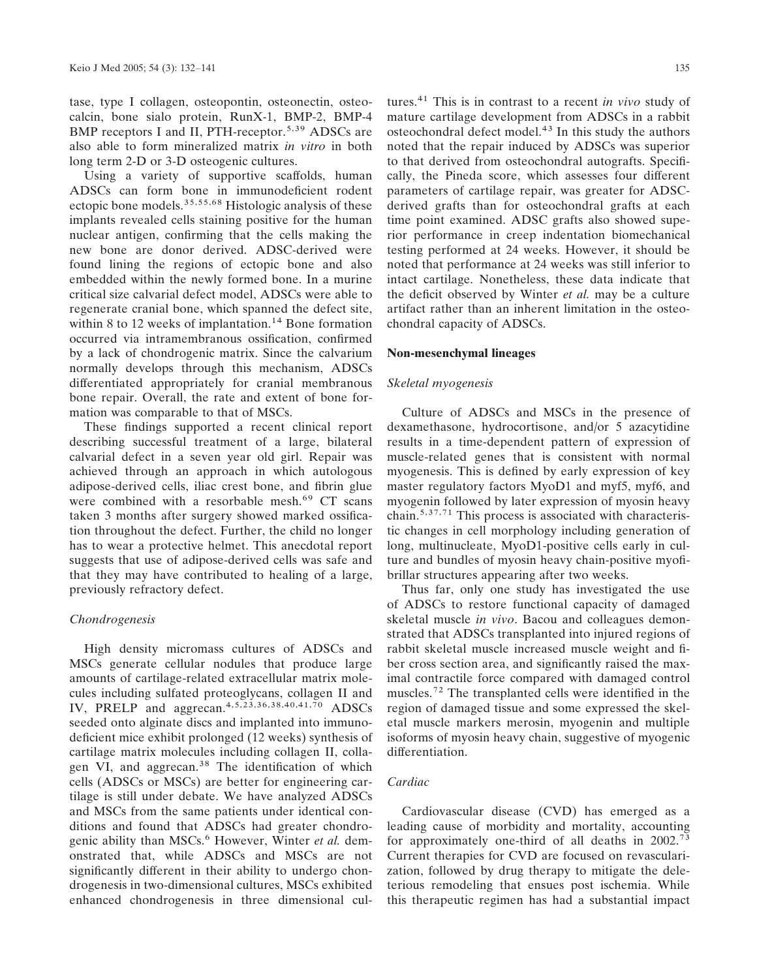tase, type I collagen, osteopontin, osteonectin, osteocalcin, bone sialo protein, RunX-1, BMP-2, BMP-4 BMP receptors I and II, PTH-receptor.<sup>5,39</sup> ADSCs are also able to form mineralized matrix in vitro in both long term 2-D or 3-D osteogenic cultures.

Using a variety of supportive scaffolds, human ADSCs can form bone in immunodeficient rodent ectopic bone models.35,55,68 Histologic analysis of these implants revealed cells staining positive for the human nuclear antigen, confirming that the cells making the new bone are donor derived. ADSC-derived were found lining the regions of ectopic bone and also embedded within the newly formed bone. In a murine critical size calvarial defect model, ADSCs were able to regenerate cranial bone, which spanned the defect site, within 8 to 12 weeks of implantation.<sup>14</sup> Bone formation occurred via intramembranous ossification, confirmed by a lack of chondrogenic matrix. Since the calvarium normally develops through this mechanism, ADSCs differentiated appropriately for cranial membranous bone repair. Overall, the rate and extent of bone formation was comparable to that of MSCs.

These findings supported a recent clinical report describing successful treatment of a large, bilateral calvarial defect in a seven year old girl. Repair was achieved through an approach in which autologous adipose-derived cells, iliac crest bone, and fibrin glue were combined with a resorbable mesh.<sup>69</sup> CT scans taken 3 months after surgery showed marked ossification throughout the defect. Further, the child no longer has to wear a protective helmet. This anecdotal report suggests that use of adipose-derived cells was safe and that they may have contributed to healing of a large, previously refractory defect.

## Chondrogenesis

High density micromass cultures of ADSCs and MSCs generate cellular nodules that produce large amounts of cartilage-related extracellular matrix molecules including sulfated proteoglycans, collagen II and IV, PRELP and aggrecan.4,5,23,36,38,40,41,70 ADSCs seeded onto alginate discs and implanted into immunodeficient mice exhibit prolonged (12 weeks) synthesis of cartilage matrix molecules including collagen II, collagen VI, and aggrecan.<sup>38</sup> The identification of which cells (ADSCs or MSCs) are better for engineering cartilage is still under debate. We have analyzed ADSCs and MSCs from the same patients under identical conditions and found that ADSCs had greater chondrogenic ability than MSCs.<sup>6</sup> However, Winter et al. demonstrated that, while ADSCs and MSCs are not significantly different in their ability to undergo chondrogenesis in two-dimensional cultures, MSCs exhibited enhanced chondrogenesis in three dimensional cultures.<sup>41</sup> This is in contrast to a recent in vivo study of mature cartilage development from ADSCs in a rabbit osteochondral defect model.43 In this study the authors noted that the repair induced by ADSCs was superior to that derived from osteochondral autografts. Specifically, the Pineda score, which assesses four different parameters of cartilage repair, was greater for ADSCderived grafts than for osteochondral grafts at each time point examined. ADSC grafts also showed superior performance in creep indentation biomechanical testing performed at 24 weeks. However, it should be noted that performance at 24 weeks was still inferior to intact cartilage. Nonetheless, these data indicate that the deficit observed by Winter et al. may be a culture artifact rather than an inherent limitation in the osteochondral capacity of ADSCs.

#### Non-mesenchymal lineages

## Skeletal myogenesis

Culture of ADSCs and MSCs in the presence of dexamethasone, hydrocortisone, and/or 5 azacytidine results in a time-dependent pattern of expression of muscle-related genes that is consistent with normal myogenesis. This is defined by early expression of key master regulatory factors MyoD1 and myf5, myf6, and myogenin followed by later expression of myosin heavy chain.5,37,71 This process is associated with characteristic changes in cell morphology including generation of long, multinucleate, MyoD1-positive cells early in culture and bundles of myosin heavy chain-positive myofibrillar structures appearing after two weeks.

Thus far, only one study has investigated the use of ADSCs to restore functional capacity of damaged skeletal muscle *in vivo*. Bacou and colleagues demonstrated that ADSCs transplanted into injured regions of rabbit skeletal muscle increased muscle weight and fiber cross section area, and significantly raised the maximal contractile force compared with damaged control muscles.72 The transplanted cells were identified in the region of damaged tissue and some expressed the skeletal muscle markers merosin, myogenin and multiple isoforms of myosin heavy chain, suggestive of myogenic differentiation.

#### Cardiac

Cardiovascular disease (CVD) has emerged as a leading cause of morbidity and mortality, accounting for approximately one-third of all deaths in 2002.73 Current therapies for CVD are focused on revascularization, followed by drug therapy to mitigate the deleterious remodeling that ensues post ischemia. While this therapeutic regimen has had a substantial impact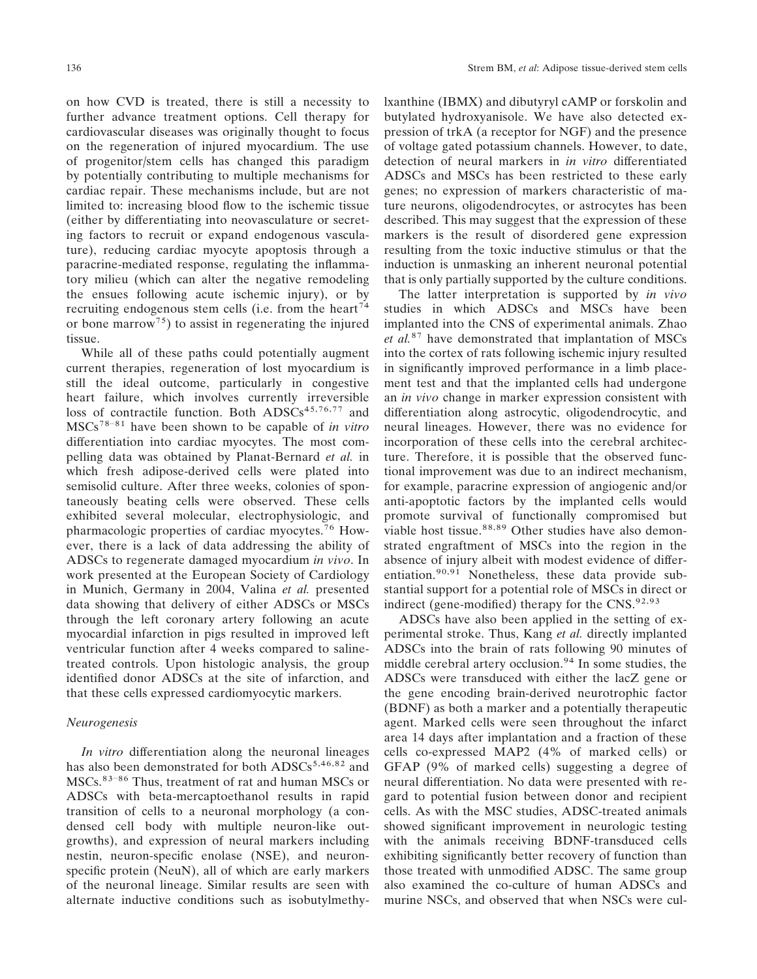on how CVD is treated, there is still a necessity to further advance treatment options. Cell therapy for cardiovascular diseases was originally thought to focus on the regeneration of injured myocardium. The use of progenitor/stem cells has changed this paradigm by potentially contributing to multiple mechanisms for cardiac repair. These mechanisms include, but are not limited to: increasing blood flow to the ischemic tissue (either by differentiating into neovasculature or secreting factors to recruit or expand endogenous vasculature), reducing cardiac myocyte apoptosis through a paracrine-mediated response, regulating the inflammatory milieu (which can alter the negative remodeling the ensues following acute ischemic injury), or by recruiting endogenous stem cells (i.e. from the heart<sup>74</sup> or bone marrow<sup>75</sup>) to assist in regenerating the injured tissue.

While all of these paths could potentially augment current therapies, regeneration of lost myocardium is still the ideal outcome, particularly in congestive heart failure, which involves currently irreversible loss of contractile function. Both ADSCs<sup>45,76,77</sup> and  $MSCs^{78-81}$  have been shown to be capable of in vitro differentiation into cardiac myocytes. The most compelling data was obtained by Planat-Bernard et al. in which fresh adipose-derived cells were plated into semisolid culture. After three weeks, colonies of spontaneously beating cells were observed. These cells exhibited several molecular, electrophysiologic, and pharmacologic properties of cardiac myocytes.76 However, there is a lack of data addressing the ability of ADSCs to regenerate damaged myocardium in vivo. In work presented at the European Society of Cardiology in Munich, Germany in 2004, Valina et al. presented data showing that delivery of either ADSCs or MSCs through the left coronary artery following an acute myocardial infarction in pigs resulted in improved left ventricular function after 4 weeks compared to salinetreated controls. Upon histologic analysis, the group identified donor ADSCs at the site of infarction, and that these cells expressed cardiomyocytic markers.

#### Neurogenesis

In vitro differentiation along the neuronal lineages has also been demonstrated for both  $ADSs^{5,46,82}$  and MSCs.83– 86 Thus, treatment of rat and human MSCs or ADSCs with beta-mercaptoethanol results in rapid transition of cells to a neuronal morphology (a condensed cell body with multiple neuron-like outgrowths), and expression of neural markers including nestin, neuron-specific enolase (NSE), and neuronspecific protein (NeuN), all of which are early markers of the neuronal lineage. Similar results are seen with alternate inductive conditions such as isobutylmethylxanthine (IBMX) and dibutyryl cAMP or forskolin and butylated hydroxyanisole. We have also detected expression of trkA (a receptor for NGF) and the presence of voltage gated potassium channels. However, to date, detection of neural markers in in vitro differentiated ADSCs and MSCs has been restricted to these early genes; no expression of markers characteristic of mature neurons, oligodendrocytes, or astrocytes has been described. This may suggest that the expression of these markers is the result of disordered gene expression resulting from the toxic inductive stimulus or that the induction is unmasking an inherent neuronal potential that is only partially supported by the culture conditions.

The latter interpretation is supported by in vivo studies in which ADSCs and MSCs have been implanted into the CNS of experimental animals. Zhao et  $al$ .<sup>87</sup> have demonstrated that implantation of MSCs into the cortex of rats following ischemic injury resulted in significantly improved performance in a limb placement test and that the implanted cells had undergone an in vivo change in marker expression consistent with differentiation along astrocytic, oligodendrocytic, and neural lineages. However, there was no evidence for incorporation of these cells into the cerebral architecture. Therefore, it is possible that the observed functional improvement was due to an indirect mechanism, for example, paracrine expression of angiogenic and/or anti-apoptotic factors by the implanted cells would promote survival of functionally compromised but viable host tissue.<sup>88,89</sup> Other studies have also demonstrated engraftment of MSCs into the region in the absence of injury albeit with modest evidence of differentiation.<sup>90,91</sup> Nonetheless, these data provide substantial support for a potential role of MSCs in direct or indirect (gene-modified) therapy for the  $CNS.<sup>92,93</sup>$ 

ADSCs have also been applied in the setting of experimental stroke. Thus, Kang et al. directly implanted ADSCs into the brain of rats following 90 minutes of middle cerebral artery occlusion.<sup>94</sup> In some studies, the ADSCs were transduced with either the lacZ gene or the gene encoding brain-derived neurotrophic factor (BDNF) as both a marker and a potentially therapeutic agent. Marked cells were seen throughout the infarct area 14 days after implantation and a fraction of these cells co-expressed MAP2 (4% of marked cells) or GFAP (9% of marked cells) suggesting a degree of neural differentiation. No data were presented with regard to potential fusion between donor and recipient cells. As with the MSC studies, ADSC-treated animals showed significant improvement in neurologic testing with the animals receiving BDNF-transduced cells exhibiting significantly better recovery of function than those treated with unmodified ADSC. The same group also examined the co-culture of human ADSCs and murine NSCs, and observed that when NSCs were cul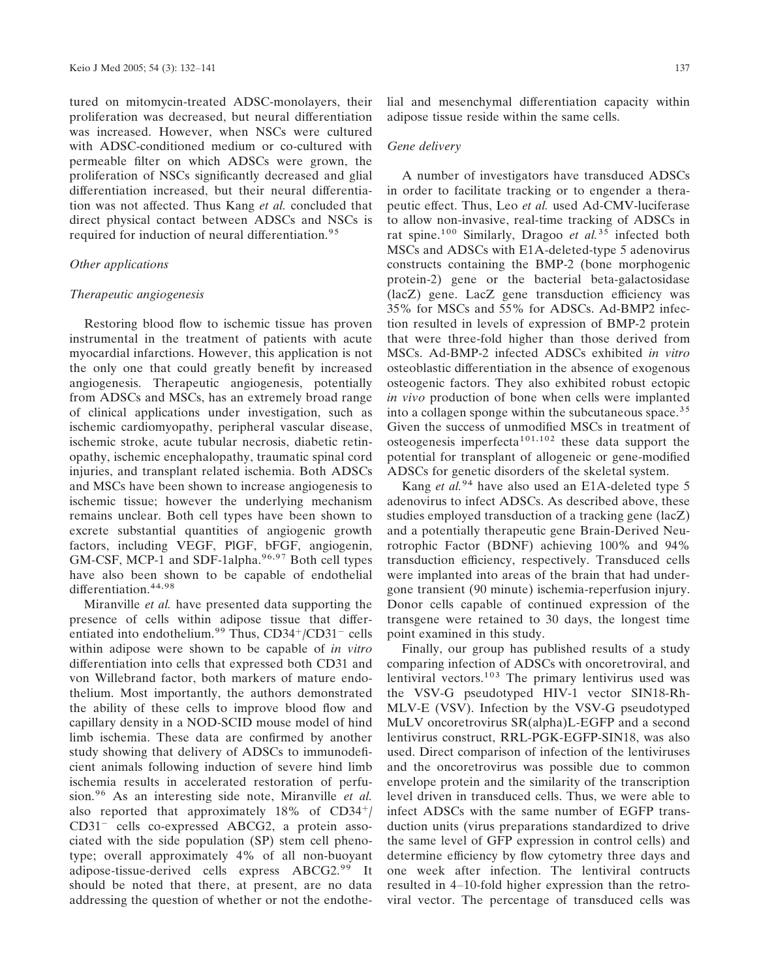tured on mitomycin-treated ADSC-monolayers, their proliferation was decreased, but neural differentiation was increased. However, when NSCs were cultured with ADSC-conditioned medium or co-cultured with permeable filter on which ADSCs were grown, the proliferation of NSCs significantly decreased and glial differentiation increased, but their neural differentiation was not affected. Thus Kang et al. concluded that direct physical contact between ADSCs and NSCs is required for induction of neural differentiation.<sup>95</sup>

## Other applications

#### Therapeutic angiogenesis

Restoring blood flow to ischemic tissue has proven instrumental in the treatment of patients with acute myocardial infarctions. However, this application is not the only one that could greatly benefit by increased angiogenesis. Therapeutic angiogenesis, potentially from ADSCs and MSCs, has an extremely broad range of clinical applications under investigation, such as ischemic cardiomyopathy, peripheral vascular disease, ischemic stroke, acute tubular necrosis, diabetic retinopathy, ischemic encephalopathy, traumatic spinal cord injuries, and transplant related ischemia. Both ADSCs and MSCs have been shown to increase angiogenesis to ischemic tissue; however the underlying mechanism remains unclear. Both cell types have been shown to excrete substantial quantities of angiogenic growth factors, including VEGF, PlGF, bFGF, angiogenin, GM-CSF, MCP-1 and SDF-1alpha.<sup>96,97</sup> Both cell types have also been shown to be capable of endothelial differentiation.<sup>44,98</sup>

Miranville et al. have presented data supporting the presence of cells within adipose tissue that differentiated into endothelium.<sup>99</sup> Thus,  $CD34^{+}/CD31^{-}$  cells within adipose were shown to be capable of *in vitro* differentiation into cells that expressed both CD31 and von Willebrand factor, both markers of mature endothelium. Most importantly, the authors demonstrated the ability of these cells to improve blood flow and capillary density in a NOD-SCID mouse model of hind limb ischemia. These data are confirmed by another study showing that delivery of ADSCs to immunodeficient animals following induction of severe hind limb ischemia results in accelerated restoration of perfusion.<sup>96</sup> As an interesting side note, Miranville et al. also reported that approximately  $18\%$  of CD34<sup>+</sup>/ CD31- cells co-expressed ABCG2, a protein associated with the side population (SP) stem cell phenotype; overall approximately 4% of all non-buoyant adipose-tissue-derived cells express ABCG2.99 It should be noted that there, at present, are no data addressing the question of whether or not the endothelial and mesenchymal differentiation capacity within adipose tissue reside within the same cells.

#### Gene delivery

A number of investigators have transduced ADSCs in order to facilitate tracking or to engender a therapeutic effect. Thus, Leo et al. used Ad-CMV-luciferase to allow non-invasive, real-time tracking of ADSCs in rat spine.<sup>100</sup> Similarly, Dragoo et al.<sup>35</sup> infected both MSCs and ADSCs with E1A-deleted-type 5 adenovirus constructs containing the BMP-2 (bone morphogenic protein-2) gene or the bacterial beta-galactosidase (lacZ) gene. LacZ gene transduction efficiency was 35% for MSCs and 55% for ADSCs. Ad-BMP2 infection resulted in levels of expression of BMP-2 protein that were three-fold higher than those derived from MSCs. Ad-BMP-2 infected ADSCs exhibited in vitro osteoblastic differentiation in the absence of exogenous osteogenic factors. They also exhibited robust ectopic in vivo production of bone when cells were implanted into a collagen sponge within the subcutaneous space.35 Given the success of unmodified MSCs in treatment of osteogenesis imperfecta<sup>101,102</sup> these data support the potential for transplant of allogeneic or gene-modified ADSCs for genetic disorders of the skeletal system.

Kang *et al.*<sup>94</sup> have also used an E1A-deleted type 5 adenovirus to infect ADSCs. As described above, these studies employed transduction of a tracking gene (lacZ) and a potentially therapeutic gene Brain-Derived Neurotrophic Factor (BDNF) achieving 100% and 94% transduction efficiency, respectively. Transduced cells were implanted into areas of the brain that had undergone transient (90 minute) ischemia-reperfusion injury. Donor cells capable of continued expression of the transgene were retained to 30 days, the longest time point examined in this study.

Finally, our group has published results of a study comparing infection of ADSCs with oncoretroviral, and lentiviral vectors.103 The primary lentivirus used was the VSV-G pseudotyped HIV-1 vector SIN18-Rh-MLV-E (VSV). Infection by the VSV-G pseudotyped MuLV oncoretrovirus SR(alpha)L-EGFP and a second lentivirus construct, RRL-PGK-EGFP-SIN18, was also used. Direct comparison of infection of the lentiviruses and the oncoretrovirus was possible due to common envelope protein and the similarity of the transcription level driven in transduced cells. Thus, we were able to infect ADSCs with the same number of EGFP transduction units (virus preparations standardized to drive the same level of GFP expression in control cells) and determine efficiency by flow cytometry three days and one week after infection. The lentiviral contructs resulted in 4–10-fold higher expression than the retroviral vector. The percentage of transduced cells was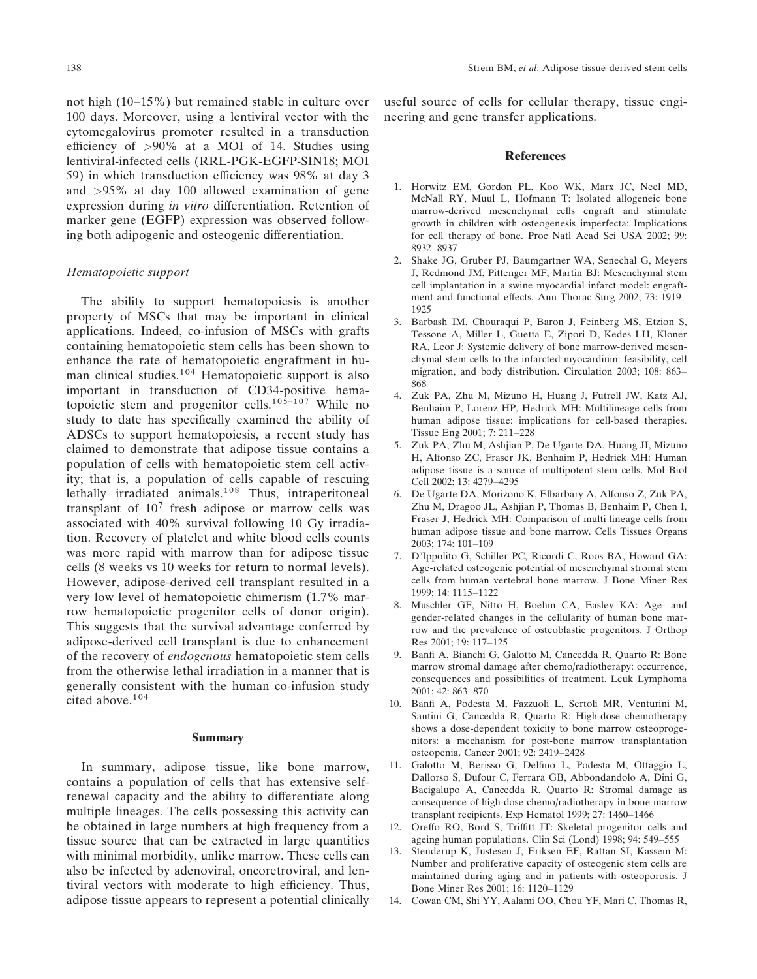not high (10–15%) but remained stable in culture over 100 days. Moreover, using a lentiviral vector with the cytomegalovirus promoter resulted in a transduction efficiency of >90% at a MOI of 14. Studies using lentiviral-infected cells (RRL-PGK-EGFP-SIN18; MOI 59) in which transduction efficiency was 98% at day 3 and >95% at day 100 allowed examination of gene expression during in vitro differentiation. Retention of marker gene (EGFP) expression was observed following both adipogenic and osteogenic differentiation.

## Hematopoietic support

The ability to support hematopoiesis is another property of MSCs that may be important in clinical applications. Indeed, co-infusion of MSCs with grafts containing hematopoietic stem cells has been shown to enhance the rate of hematopoietic engraftment in human clinical studies.<sup>104</sup> Hematopoietic support is also important in transduction of CD34-positive hematopoietic stem and progenitor cells.<sup>105-107</sup> While no study to date has specifically examined the ability of ADSCs to support hematopoiesis, a recent study has claimed to demonstrate that adipose tissue contains a population of cells with hematopoietic stem cell activity; that is, a population of cells capable of rescuing lethally irradiated animals.<sup>108</sup> Thus, intraperitoneal transplant of  $10<sup>7</sup>$  fresh adipose or marrow cells was associated with 40% survival following 10 Gy irradiation. Recovery of platelet and white blood cells counts was more rapid with marrow than for adipose tissue cells (8 weeks vs 10 weeks for return to normal levels). However, adipose-derived cell transplant resulted in a very low level of hematopoietic chimerism (1.7% marrow hematopoietic progenitor cells of donor origin). This suggests that the survival advantage conferred by adipose-derived cell transplant is due to enhancement of the recovery of endogenous hematopoietic stem cells from the otherwise lethal irradiation in a manner that is generally consistent with the human co-infusion study cited above.104

### Summary

In summary, adipose tissue, like bone marrow, contains a population of cells that has extensive selfrenewal capacity and the ability to differentiate along multiple lineages. The cells possessing this activity can be obtained in large numbers at high frequency from a tissue source that can be extracted in large quantities with minimal morbidity, unlike marrow. These cells can also be infected by adenoviral, oncoretroviral, and lentiviral vectors with moderate to high efficiency. Thus, adipose tissue appears to represent a potential clinically useful source of cells for cellular therapy, tissue engineering and gene transfer applications.

#### References

- 1. Horwitz EM, Gordon PL, Koo WK, Marx JC, Neel MD, McNall RY, Muul L, Hofmann T: Isolated allogeneic bone marrow-derived mesenchymal cells engraft and stimulate growth in children with osteogenesis imperfecta: Implications for cell therapy of bone. Proc Natl Acad Sci USA 2002; 99: 8932–8937
- 2. Shake JG, Gruber PJ, Baumgartner WA, Senechal G, Meyers J, Redmond JM, Pittenger MF, Martin BJ: Mesenchymal stem cell implantation in a swine myocardial infarct model: engraftment and functional effects. Ann Thorac Surg 2002; 73: 1919– 1925
- 3. Barbash IM, Chouraqui P, Baron J, Feinberg MS, Etzion S, Tessone A, Miller L, Guetta E, Zipori D, Kedes LH, Kloner RA, Leor J: Systemic delivery of bone marrow-derived mesenchymal stem cells to the infarcted myocardium: feasibility, cell migration, and body distribution. Circulation 2003; 108: 863– 868
- 4. Zuk PA, Zhu M, Mizuno H, Huang J, Futrell JW, Katz AJ, Benhaim P, Lorenz HP, Hedrick MH: Multilineage cells from human adipose tissue: implications for cell-based therapies. Tissue Eng 2001; 7: 211–228
- 5. Zuk PA, Zhu M, Ashjian P, De Ugarte DA, Huang JI, Mizuno H, Alfonso ZC, Fraser JK, Benhaim P, Hedrick MH: Human adipose tissue is a source of multipotent stem cells. Mol Biol Cell 2002; 13: 4279–4295
- 6. De Ugarte DA, Morizono K, Elbarbary A, Alfonso Z, Zuk PA, Zhu M, Dragoo JL, Ashjian P, Thomas B, Benhaim P, Chen I, Fraser J, Hedrick MH: Comparison of multi-lineage cells from human adipose tissue and bone marrow. Cells Tissues Organs 2003; 174: 101–109
- 7. D'Ippolito G, Schiller PC, Ricordi C, Roos BA, Howard GA: Age-related osteogenic potential of mesenchymal stromal stem cells from human vertebral bone marrow. J Bone Miner Res 1999; 14: 1115–1122
- 8. Muschler GF, Nitto H, Boehm CA, Easley KA: Age- and gender-related changes in the cellularity of human bone marrow and the prevalence of osteoblastic progenitors. J Orthop Res 2001; 19: 117–125
- 9. Banfi A, Bianchi G, Galotto M, Cancedda R, Quarto R: Bone marrow stromal damage after chemo/radiotherapy: occurrence, consequences and possibilities of treatment. Leuk Lymphoma 2001; 42: 863–870
- 10. Banfi A, Podesta M, Fazzuoli L, Sertoli MR, Venturini M, Santini G, Cancedda R, Quarto R: High-dose chemotherapy shows a dose-dependent toxicity to bone marrow osteoprogenitors: a mechanism for post-bone marrow transplantation osteopenia. Cancer 2001; 92: 2419–2428
- 11. Galotto M, Berisso G, Delfino L, Podesta M, Ottaggio L, Dallorso S, Dufour C, Ferrara GB, Abbondandolo A, Dini G, Bacigalupo A, Cancedda R, Quarto R: Stromal damage as consequence of high-dose chemo/radiotherapy in bone marrow transplant recipients. Exp Hematol 1999; 27: 1460–1466
- 12. Oreffo RO, Bord S, Triffitt JT: Skeletal progenitor cells and ageing human populations. Clin Sci (Lond) 1998; 94: 549–555
- 13. Stenderup K, Justesen J, Eriksen EF, Rattan SI, Kassem M: Number and proliferative capacity of osteogenic stem cells are maintained during aging and in patients with osteoporosis. J Bone Miner Res 2001; 16: 1120–1129
- 14. Cowan CM, Shi YY, Aalami OO, Chou YF, Mari C, Thomas R,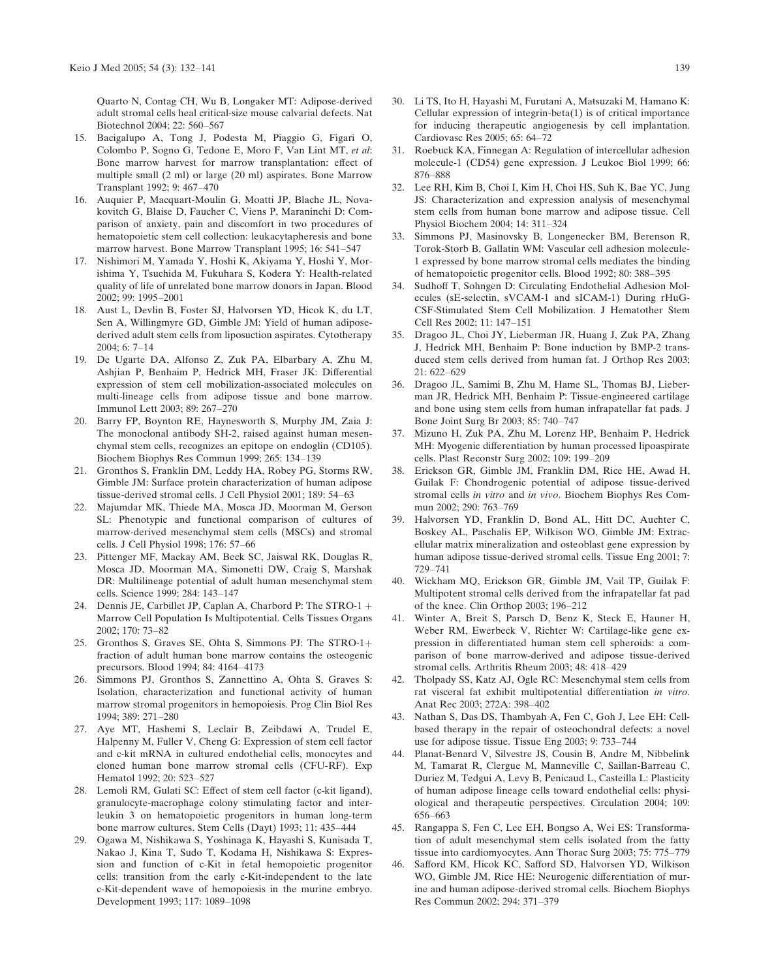Quarto N, Contag CH, Wu B, Longaker MT: Adipose-derived adult stromal cells heal critical-size mouse calvarial defects. Nat Biotechnol 2004; 22: 560–567

- 15. Bacigalupo A, Tong J, Podesta M, Piaggio G, Figari O, Colombo P, Sogno G, Tedone E, Moro F, Van Lint MT, et al: Bone marrow harvest for marrow transplantation: effect of multiple small (2 ml) or large (20 ml) aspirates. Bone Marrow Transplant 1992; 9: 467–470
- 16. Auquier P, Macquart-Moulin G, Moatti JP, Blache JL, Novakovitch G, Blaise D, Faucher C, Viens P, Maraninchi D: Comparison of anxiety, pain and discomfort in two procedures of hematopoietic stem cell collection: leukacytapheresis and bone marrow harvest. Bone Marrow Transplant 1995; 16: 541–547
- 17. Nishimori M, Yamada Y, Hoshi K, Akiyama Y, Hoshi Y, Morishima Y, Tsuchida M, Fukuhara S, Kodera Y: Health-related quality of life of unrelated bone marrow donors in Japan. Blood 2002; 99: 1995–2001
- 18. Aust L, Devlin B, Foster SJ, Halvorsen YD, Hicok K, du LT, Sen A, Willingmyre GD, Gimble JM: Yield of human adiposederived adult stem cells from liposuction aspirates. Cytotherapy 2004; 6: 7–14
- 19. De Ugarte DA, Alfonso Z, Zuk PA, Elbarbary A, Zhu M, Ashjian P, Benhaim P, Hedrick MH, Fraser JK: Differential expression of stem cell mobilization-associated molecules on multi-lineage cells from adipose tissue and bone marrow. Immunol Lett 2003; 89: 267–270
- 20. Barry FP, Boynton RE, Haynesworth S, Murphy JM, Zaia J: The monoclonal antibody SH-2, raised against human mesenchymal stem cells, recognizes an epitope on endoglin (CD105). Biochem Biophys Res Commun 1999; 265: 134–139
- 21. Gronthos S, Franklin DM, Leddy HA, Robey PG, Storms RW, Gimble JM: Surface protein characterization of human adipose tissue-derived stromal cells. J Cell Physiol 2001; 189: 54–63
- 22. Majumdar MK, Thiede MA, Mosca JD, Moorman M, Gerson SL: Phenotypic and functional comparison of cultures of marrow-derived mesenchymal stem cells (MSCs) and stromal cells. J Cell Physiol 1998; 176: 57–66
- 23. Pittenger MF, Mackay AM, Beck SC, Jaiswal RK, Douglas R, Mosca JD, Moorman MA, Simonetti DW, Craig S, Marshak DR: Multilineage potential of adult human mesenchymal stem cells. Science 1999; 284: 143–147
- 24. Dennis JE, Carbillet JP, Caplan A, Charbord P: The STRO-1 + Marrow Cell Population Is Multipotential. Cells Tissues Organs 2002; 170: 73–82
- 25. Gronthos S, Graves SE, Ohta S, Simmons PJ: The STRO-1þ fraction of adult human bone marrow contains the osteogenic precursors. Blood 1994; 84: 4164–4173
- 26. Simmons PJ, Gronthos S, Zannettino A, Ohta S, Graves S: Isolation, characterization and functional activity of human marrow stromal progenitors in hemopoiesis. Prog Clin Biol Res 1994; 389: 271–280
- 27. Aye MT, Hashemi S, Leclair B, Zeibdawi A, Trudel E, Halpenny M, Fuller V, Cheng G: Expression of stem cell factor and c-kit mRNA in cultured endothelial cells, monocytes and cloned human bone marrow stromal cells (CFU-RF). Exp Hematol 1992; 20: 523–527
- 28. Lemoli RM, Gulati SC: Effect of stem cell factor (c-kit ligand), granulocyte-macrophage colony stimulating factor and interleukin 3 on hematopoietic progenitors in human long-term bone marrow cultures. Stem Cells (Dayt) 1993; 11: 435–444
- 29. Ogawa M, Nishikawa S, Yoshinaga K, Hayashi S, Kunisada T, Nakao J, Kina T, Sudo T, Kodama H, Nishikawa S: Expression and function of c-Kit in fetal hemopoietic progenitor cells: transition from the early c-Kit-independent to the late c-Kit-dependent wave of hemopoiesis in the murine embryo. Development 1993; 117: 1089–1098
- 30. Li TS, Ito H, Hayashi M, Furutani A, Matsuzaki M, Hamano K: Cellular expression of integrin-beta(1) is of critical importance for inducing therapeutic angiogenesis by cell implantation. Cardiovasc Res 2005; 65: 64–72
- 31. Roebuck KA, Finnegan A: Regulation of intercellular adhesion molecule-1 (CD54) gene expression. J Leukoc Biol 1999; 66: 876–888
- 32. Lee RH, Kim B, Choi I, Kim H, Choi HS, Suh K, Bae YC, Jung JS: Characterization and expression analysis of mesenchymal stem cells from human bone marrow and adipose tissue. Cell Physiol Biochem 2004; 14: 311–324
- 33. Simmons PJ, Masinovsky B, Longenecker BM, Berenson R, Torok-Storb B, Gallatin WM: Vascular cell adhesion molecule-1 expressed by bone marrow stromal cells mediates the binding of hematopoietic progenitor cells. Blood 1992; 80: 388–395
- 34. Sudhoff T, Sohngen D: Circulating Endothelial Adhesion Molecules (sE-selectin, sVCAM-1 and sICAM-1) During rHuG-CSF-Stimulated Stem Cell Mobilization. J Hematother Stem Cell Res 2002; 11: 147–151
- 35. Dragoo JL, Choi JY, Lieberman JR, Huang J, Zuk PA, Zhang J, Hedrick MH, Benhaim P: Bone induction by BMP-2 transduced stem cells derived from human fat. J Orthop Res 2003; 21: 622–629
- 36. Dragoo JL, Samimi B, Zhu M, Hame SL, Thomas BJ, Lieberman JR, Hedrick MH, Benhaim P: Tissue-engineered cartilage and bone using stem cells from human infrapatellar fat pads. J Bone Joint Surg Br 2003; 85: 740–747
- 37. Mizuno H, Zuk PA, Zhu M, Lorenz HP, Benhaim P, Hedrick MH: Myogenic differentiation by human processed lipoaspirate cells. Plast Reconstr Surg 2002; 109: 199–209
- 38. Erickson GR, Gimble JM, Franklin DM, Rice HE, Awad H, Guilak F: Chondrogenic potential of adipose tissue-derived stromal cells in vitro and in vivo. Biochem Biophys Res Commun 2002; 290: 763–769
- 39. Halvorsen YD, Franklin D, Bond AL, Hitt DC, Auchter C, Boskey AL, Paschalis EP, Wilkison WO, Gimble JM: Extracellular matrix mineralization and osteoblast gene expression by human adipose tissue-derived stromal cells. Tissue Eng 2001; 7: 729–741
- 40. Wickham MQ, Erickson GR, Gimble JM, Vail TP, Guilak F: Multipotent stromal cells derived from the infrapatellar fat pad of the knee. Clin Orthop 2003; 196–212
- 41. Winter A, Breit S, Parsch D, Benz K, Steck E, Hauner H, Weber RM, Ewerbeck V, Richter W: Cartilage-like gene expression in differentiated human stem cell spheroids: a comparison of bone marrow-derived and adipose tissue-derived stromal cells. Arthritis Rheum 2003; 48: 418–429
- 42. Tholpady SS, Katz AJ, Ogle RC: Mesenchymal stem cells from rat visceral fat exhibit multipotential differentiation in vitro. Anat Rec 2003; 272A: 398–402
- 43. Nathan S, Das DS, Thambyah A, Fen C, Goh J, Lee EH: Cellbased therapy in the repair of osteochondral defects: a novel use for adipose tissue. Tissue Eng 2003; 9: 733–744
- 44. Planat-Benard V, Silvestre JS, Cousin B, Andre M, Nibbelink M, Tamarat R, Clergue M, Manneville C, Saillan-Barreau C, Duriez M, Tedgui A, Levy B, Penicaud L, Casteilla L: Plasticity of human adipose lineage cells toward endothelial cells: physiological and therapeutic perspectives. Circulation 2004; 109: 656–663
- 45. Rangappa S, Fen C, Lee EH, Bongso A, Wei ES: Transformation of adult mesenchymal stem cells isolated from the fatty tissue into cardiomyocytes. Ann Thorac Surg 2003; 75: 775–779
- 46. Safford KM, Hicok KC, Safford SD, Halvorsen YD, Wilkison WO, Gimble JM, Rice HE: Neurogenic differentiation of murine and human adipose-derived stromal cells. Biochem Biophys Res Commun 2002; 294: 371–379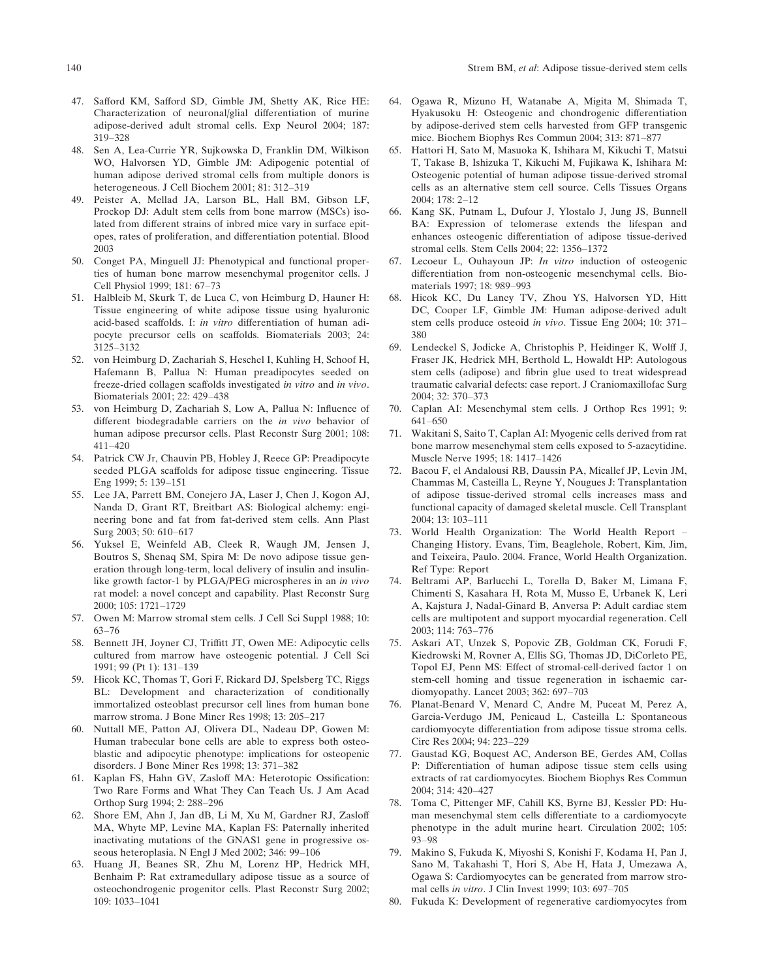- 47. Safford KM, Safford SD, Gimble JM, Shetty AK, Rice HE: Characterization of neuronal/glial differentiation of murine adipose-derived adult stromal cells. Exp Neurol 2004; 187: 319–328
- 48. Sen A, Lea-Currie YR, Sujkowska D, Franklin DM, Wilkison WO, Halvorsen YD, Gimble JM: Adipogenic potential of human adipose derived stromal cells from multiple donors is heterogeneous. J Cell Biochem 2001; 81: 312–319
- 49. Peister A, Mellad JA, Larson BL, Hall BM, Gibson LF, Prockop DJ: Adult stem cells from bone marrow (MSCs) isolated from different strains of inbred mice vary in surface epitopes, rates of proliferation, and differentiation potential. Blood 2003
- 50. Conget PA, Minguell JJ: Phenotypical and functional properties of human bone marrow mesenchymal progenitor cells. J Cell Physiol 1999; 181: 67–73
- 51. Halbleib M, Skurk T, de Luca C, von Heimburg D, Hauner H: Tissue engineering of white adipose tissue using hyaluronic acid-based scaffolds. I: in vitro differentiation of human adipocyte precursor cells on scaffolds. Biomaterials 2003; 24: 3125–3132
- 52. von Heimburg D, Zachariah S, Heschel I, Kuhling H, Schoof H, Hafemann B, Pallua N: Human preadipocytes seeded on freeze-dried collagen scaffolds investigated in vitro and in vivo. Biomaterials 2001; 22: 429–438
- 53. von Heimburg D, Zachariah S, Low A, Pallua N: Influence of different biodegradable carriers on the in vivo behavior of human adipose precursor cells. Plast Reconstr Surg 2001; 108: 411–420
- 54. Patrick CW Jr, Chauvin PB, Hobley J, Reece GP: Preadipocyte seeded PLGA scaffolds for adipose tissue engineering. Tissue Eng 1999; 5: 139–151
- 55. Lee JA, Parrett BM, Conejero JA, Laser J, Chen J, Kogon AJ, Nanda D, Grant RT, Breitbart AS: Biological alchemy: engineering bone and fat from fat-derived stem cells. Ann Plast Surg 2003; 50: 610–617
- 56. Yuksel E, Weinfeld AB, Cleek R, Waugh JM, Jensen J, Boutros S, Shenaq SM, Spira M: De novo adipose tissue generation through long-term, local delivery of insulin and insulinlike growth factor-1 by PLGA/PEG microspheres in an in vivo rat model: a novel concept and capability. Plast Reconstr Surg 2000; 105: 1721–1729
- 57. Owen M: Marrow stromal stem cells. J Cell Sci Suppl 1988; 10: 63–76
- 58. Bennett JH, Joyner CJ, Triffitt JT, Owen ME: Adipocytic cells cultured from marrow have osteogenic potential. J Cell Sci 1991; 99 (Pt 1): 131–139
- 59. Hicok KC, Thomas T, Gori F, Rickard DJ, Spelsberg TC, Riggs BL: Development and characterization of conditionally immortalized osteoblast precursor cell lines from human bone marrow stroma. J Bone Miner Res 1998; 13: 205–217
- 60. Nuttall ME, Patton AJ, Olivera DL, Nadeau DP, Gowen M: Human trabecular bone cells are able to express both osteoblastic and adipocytic phenotype: implications for osteopenic disorders. J Bone Miner Res 1998; 13: 371–382
- 61. Kaplan FS, Hahn GV, Zasloff MA: Heterotopic Ossification: Two Rare Forms and What They Can Teach Us. J Am Acad Orthop Surg 1994; 2: 288–296
- 62. Shore EM, Ahn J, Jan dB, Li M, Xu M, Gardner RJ, Zasloff MA, Whyte MP, Levine MA, Kaplan FS: Paternally inherited inactivating mutations of the GNAS1 gene in progressive osseous heteroplasia. N Engl J Med 2002; 346: 99–106
- 63. Huang JI, Beanes SR, Zhu M, Lorenz HP, Hedrick MH, Benhaim P: Rat extramedullary adipose tissue as a source of osteochondrogenic progenitor cells. Plast Reconstr Surg 2002; 109: 1033–1041
- 64. Ogawa R, Mizuno H, Watanabe A, Migita M, Shimada T, Hyakusoku H: Osteogenic and chondrogenic differentiation by adipose-derived stem cells harvested from GFP transgenic mice. Biochem Biophys Res Commun 2004; 313: 871–877
- 65. Hattori H, Sato M, Masuoka K, Ishihara M, Kikuchi T, Matsui T, Takase B, Ishizuka T, Kikuchi M, Fujikawa K, Ishihara M: Osteogenic potential of human adipose tissue-derived stromal cells as an alternative stem cell source. Cells Tissues Organs 2004; 178: 2–12
- 66. Kang SK, Putnam L, Dufour J, Ylostalo J, Jung JS, Bunnell BA: Expression of telomerase extends the lifespan and enhances osteogenic differentiation of adipose tissue-derived stromal cells. Stem Cells 2004; 22: 1356–1372
- 67. Lecoeur L, Ouhayoun JP: In vitro induction of osteogenic differentiation from non-osteogenic mesenchymal cells. Biomaterials 1997; 18: 989–993
- 68. Hicok KC, Du Laney TV, Zhou YS, Halvorsen YD, Hitt DC, Cooper LF, Gimble JM: Human adipose-derived adult stem cells produce osteoid in vivo. Tissue Eng 2004; 10: 371– 380
- 69. Lendeckel S, Jodicke A, Christophis P, Heidinger K, Wolff J, Fraser JK, Hedrick MH, Berthold L, Howaldt HP: Autologous stem cells (adipose) and fibrin glue used to treat widespread traumatic calvarial defects: case report. J Craniomaxillofac Surg 2004; 32: 370–373
- 70. Caplan AI: Mesenchymal stem cells. J Orthop Res 1991; 9: 641–650
- 71. Wakitani S, Saito T, Caplan AI: Myogenic cells derived from rat bone marrow mesenchymal stem cells exposed to 5-azacytidine. Muscle Nerve 1995; 18: 1417–1426
- 72. Bacou F, el Andalousi RB, Daussin PA, Micallef JP, Levin JM, Chammas M, Casteilla L, Reyne Y, Nougues J: Transplantation of adipose tissue-derived stromal cells increases mass and functional capacity of damaged skeletal muscle. Cell Transplant 2004; 13: 103–111
- 73. World Health Organization: The World Health Report Changing History. Evans, Tim, Beaglehole, Robert, Kim, Jim, and Teixeira, Paulo. 2004. France, World Health Organization. Ref Type: Report
- 74. Beltrami AP, Barlucchi L, Torella D, Baker M, Limana F, Chimenti S, Kasahara H, Rota M, Musso E, Urbanek K, Leri A, Kajstura J, Nadal-Ginard B, Anversa P: Adult cardiac stem cells are multipotent and support myocardial regeneration. Cell 2003; 114: 763–776
- 75. Askari AT, Unzek S, Popovic ZB, Goldman CK, Forudi F, Kiedrowski M, Rovner A, Ellis SG, Thomas JD, DiCorleto PE, Topol EJ, Penn MS: Effect of stromal-cell-derived factor 1 on stem-cell homing and tissue regeneration in ischaemic cardiomyopathy. Lancet 2003; 362: 697–703
- 76. Planat-Benard V, Menard C, Andre M, Puceat M, Perez A, Garcia-Verdugo JM, Penicaud L, Casteilla L: Spontaneous cardiomyocyte differentiation from adipose tissue stroma cells. Circ Res 2004; 94: 223–229
- 77. Gaustad KG, Boquest AC, Anderson BE, Gerdes AM, Collas P: Differentiation of human adipose tissue stem cells using extracts of rat cardiomyocytes. Biochem Biophys Res Commun 2004; 314: 420–427
- 78. Toma C, Pittenger MF, Cahill KS, Byrne BJ, Kessler PD: Human mesenchymal stem cells differentiate to a cardiomyocyte phenotype in the adult murine heart. Circulation 2002; 105: 93–98
- 79. Makino S, Fukuda K, Miyoshi S, Konishi F, Kodama H, Pan J, Sano M, Takahashi T, Hori S, Abe H, Hata J, Umezawa A, Ogawa S: Cardiomyocytes can be generated from marrow stromal cells in vitro. J Clin Invest 1999; 103: 697–705
- 80. Fukuda K: Development of regenerative cardiomyocytes from